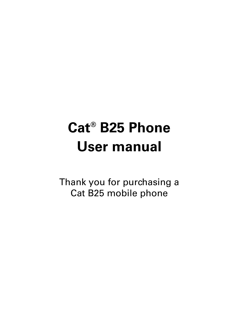# **Cat® B25 Phone User manual**

Thank you for purchasing a Cat B25 mobile phone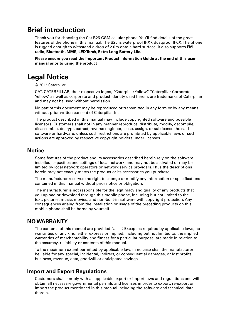## **Brief introduction**

Thank you for choosing the Cat B25 GSM cellular phone. You'll find details of the great features of the phone in this manual. The B25 is waterproof IPX7, dustproof IP6X, The phone is rugged enough to withstand a drop of 2.0m onto a hard surface. It also supports **FM radio, Bluetooth, MMS, LED Torch, Extra Long Battery Life.**

**Please ensure you read the Important Product Information Guide at the end of this user manual prior to using the product**

## **Legal Notice**

© 2012 Caterpillar

CAT, CATERPILLAR, their respective logos, "Caterpillar Yellow," "Caterpillar Corporate Yellow," as well as corporate and product identity used herein, are trademarks of Caterpillar and may not be used without permission.

No part of this document may be reproduced or transmitted in any form or by any means without prior written consent of Caterpillar Inc.

The product described in this manual may include copyrighted software and possible licensors. Customers shall not in any manner reproduce, distribute, modify, decompile, disassemble, decrypt, extract, reverse engineer, lease, assign, or sublicense the said software or hardware, unless such restrictions are prohibited by applicable laws or such actions are approved by respective copyright holders under licenses.

#### **Notice**

Some features of the product and its accessories described herein rely on the software installed, capacities and settings of local network, and may not be activated or may be limited by local network operators or network service providers. Thus the descriptions herein may not exactly match the product or its accessories you purchase.

The manufacturer reserves the right to change or modify any information or specifications contained in this manual without prior notice or obligation.

The manufacturer is not responsible for the legitimacy and quality of any products that you upload or download through this mobile phone, including but not limited to the text, pictures, music, movies, and non-built-in software with copyright protection. Any consequences arising from the installation or usage of the preceding products on this mobile phone shall be borne by yourself.

### **NO WARRANTY**

The contents of this manual are provided "as is". Except as required by applicable laws, no warranties of any kind, either express or implied, including but not limited to, the implied warranties of merchantability and fitness for a particular purpose, are made in relation to the accuracy, reliability or contents of this manual.

To the maximum extent permitted by applicable law, in no case shall the manufacturer be liable for any special, incidental, indirect, or consequential damages, or lost profits, business, revenue, data, goodwill or anticipated savings.

## **Import and Export Regulations**

Customers shall comply with all applicable export or import laws and regulations and will obtain all necessary governmental permits and licenses in order to export, re-export or import the product mentioned in this manual including the software and technical data therein.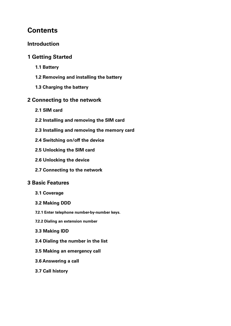## **Contents**

## **Introduction**

## **1 Getting Started**

- **1.1 Battery**
- **1.2 Removing and installing the battery**
- **1.3 Charging the battery**

## **2 Connecting to the network**

- **2.1 SIM card**
- **2.2 Installing and removing the SIM card**
- **2.3 Installing and removing the memory card**
- **2.4 Switching on/off the device**
- **2.5 Unlocking the SIM card**
- **2.6 Unlocking the device**
- **2.7 Connecting to the network**

## **3 Basic Features**

- **3.1 Coverage**
- **3.2 Making DDD**
- **7.2.1 Enter telephone number-by-number keys.**
- **7.2.2 Dialing an extension number**
- **3.3 Making IDD**
- **3.4 Dialing the number in the list**
- **3.5 Making an emergency call**
- **3.6 Answering a call**
- **3.7 Call history**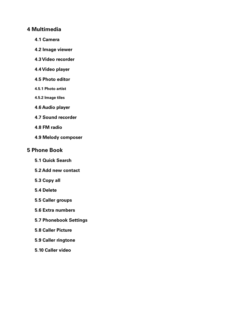## **4 Multimedia**

- **4.1 Camera**
- **4.2 Image viewer**
- **4.3 Video recorder**
- **4.4 Video player**
- **4.5 Photo editor**
- **4.5.1 Photo artist**
- **4.5.2 Image tiles**
- **4.6 Audio player**
- **4.7 Sound recorder**
- **4.8 FM radio**
- **4.9 Melody composer**

## **5 Phone Book**

- **5.1 Quick Search**
- **5.2 Add new contact**
- **5.3 Copy all**
- **5.4 Delete**
- **5.5 Caller groups**
- **5.6 Extra numbers**
- **5.7 Phonebook Settings**
- **5.8 Caller Picture**
- **5.9 Caller ringtone**
- **5.10 Caller video**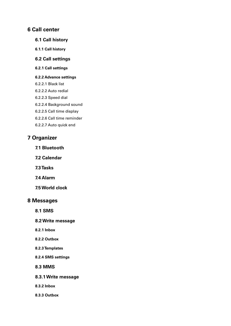## **6 Call center**

- **6.1 Call history**
- **6.1.1 Call history**
- **6.2 Call settings**
- **6.2.1 Call settings**

#### **6.2.2 Advance settings**

- 6.2.2.1 Black list
- 6.2.2.2 Auto redial
- 6.2.2.3 Speed dial
- 6.2.2.4 Background sound
- 6.2.2.5 Call time display
- 6.2.2.6 Call time reminder
- 6.2.2.7 Auto quick end

## **7 Organizer**

- **7.1 Bluetooth**
- **7.2 Calendar**
- **7.3 Tasks**
- **7.4 Alarm**
- **7.5 World clock**

## **8 Messages**

- **8.1 SMS**
- **8.2 Write message**
- **8.2.1 Inbox**
- **8.2.2 Outbox**
- **8.2.3 Templates**
- **8.2.4 SMS settings**

#### **8.3 MMS**

- **8.3.1 Write message**
- **8.3.2 Inbox**
- **8.3.3 Outbox**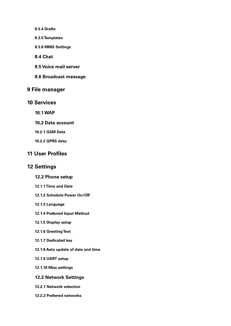- **8.3.4 Drafts**
- **8.3.5 Templates**
- **8.3.6 MMS Settings**
- **8.4 Chat**
- **8.5 Voice mail server**
- **8.6 Broadcast message**

## **9 File manager**

- **10 Services** 
	- **10.1 WAP**
	- **10.2 Data account**
	- **10.2.1 GSM Data**
	- **10.2.2 GPRS data:**

## **11 User Profiles**

### **12 Settings**

#### **12.2 Phone setup**

- **12.1.1 Time and Date**
- **12.1.2 Schedule Power On/Off**
- **12.1.3 Language**
- **12.1.4 Preferred Input Method**
- **12.1.5 Display setup**
- **12.1.6 Greeting Text**
- **12.1.7 Dedicated key**
- **12.1.8 Auto update of date and time**
- **12.1.9 UART setup**
- **12.1.10 Misc.settings**
- **12.2 Network Settings**
- **12.2.1 Network selection**
- **12.2.2 Preferred networks**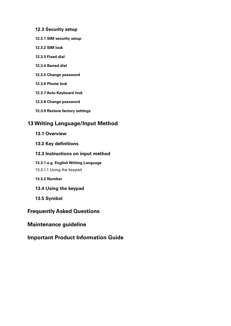#### **12.3 Security setup**

- **12.3.1 SIM security setup**
- **12.3.2 SIM lock**
- **12.3.3 Fixed dial**
- **12.3.4 Barred dial**
- **12.3.5 Change password**
- **12.3.6 Phone lock**
- **12.3.7 Auto Keyboard lock**
- **12.3.8 Change password**
- **12.3.9 Restore factory settings**

## **13 Writing Language/Input Method**

- **13.1 Overview**
- **13.2 Key definitions**

#### **13.3 Instructions on input method**

#### **13.3.1 e.g. English Writing Language**

- 13.3.1.1 Using the keypad
- **13.3.2 Number**
- **13.4 Using the keypad**
- **13.5 Symbol**

## **Frequently Asked Questions**

## **Maintenance guideline**

## **Important Product Information Guide**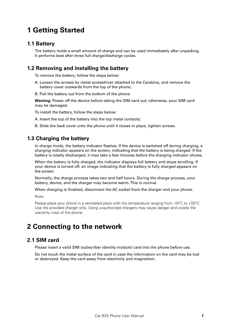## **1 Getting Started**

## **1.1 Battery**

The battery holds a small amount of charge and can be used immediately after unpacking. It performs best after three full charge/discharge cycles.

## **1.2 Removing and installing the battery**

To remove the battery, follow the steps below:

- A. Loosen the screws by metal screwdriver attached to the Carabina, and remove the battery cover outwards from the top of the phone;
- B. Pull the battery out from the bottom of the phone.

**Warning:** Power off the device before taking the SIM card out; otherwise, your SIM card may be damaged.

To install the battery, follow the steps below:

A. Insert the top of the battery into the top metal contacts;

B. Slide the back cover onto the phone until it closes in place, tighten screws.

## **1.3 Charging the battery**

In charge mode, the battery indicator flashes. If the device is switched off during charging, a charging indicator appears on the screen, indicating that the battery is being charged. If the battery is totally discharged, it may take a few minutes before the charging indicator shows.

When the battery is fully charged, the indicator displays full battery and stops scrolling. If your device is turned off, an image indicating that the battery is fully charged appears on the screen.

Normally, the charge process takes two and half hours. During the charge process, your battery, device, and the charger may become warm. This is normal.

When charging is finished, disconnect the AC socket from the charger and your phone.

Note:

Please place your phone in a ventilated place with the temperature ranging from -10°C to +55°C. Use the provided charger only. Using unauthorized chargers may cause danger and violate the warranty rules of the phone.

## **2 Connecting to the network**

## **2.1 SIM card**

Please insert a valid SIM (subscriber identity module) card into the phone before use.

Do not touch the metal surface of the card in case the information on the card may be lost or destroyed. Keep the card away from electricity and magnetism.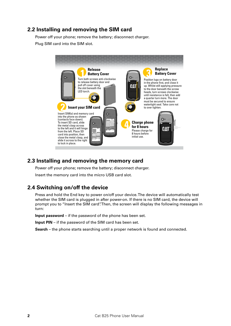## **2.2 Installing and removing the SIM card**

Power off your phone; remove the battery; disconnect charger.

Plug SIM card into the SIM slot.



## **2.3 Installing and removing the memory card**

Power off your phone; remove the battery; disconnect charger.

 $1000000$ Insert the memory card into the micro USB card slot.

## 2.4 Switching on/off the device

**Insérez votre carte SIM** prompt you to "Insert the SIM card". Then, the screen will display the following messages in whether the SIM card is plugged in after power-on. If there is no SIM card, the device will y no y Press and hold the End key to power on/off your device. The device will automatically test turn:

**Input password** – if the password of the phone has been set.

been set.  $\overline{ }$ , varaf Input PIN – if the password of the SIM card has been set.

**3 Retirez le cache** Search – the phone starts searching until a proper network is found and connected.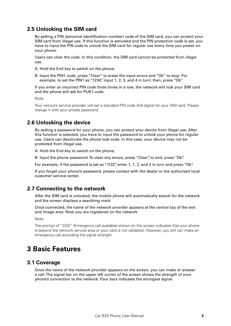## **2.5 Unlocking the SIM card**

By setting a PIN (personal identification number) code of the SIM card, you can protect your SIM card from illegal use. If this function is activated and the PIN protection code is set, you have to input the PIN code to unlock the SIM card for regular use every time you power on your phone.

Users can clear the code. In this condition, the SIM card cannot be protected from illegal use.

A. Hold the End key to switch on the phone;

B. Input the PIN1 code, press "Clear" to erase the input errors and "Ok" to stop. For example, to set the PIN1 as "1234", input 1, 2, 3, and 4 in turn; then, press "Ok".

If you enter an incorrect PIN code three times in a row, the network will lock your SIM card and the phone will ask for PUK1 code.

Note:

Your network service provider will set a standard PIN code (4-8 digits) for your SIM card. Please change it with your private password.

## **2.6 Unlocking the device**

By setting a password for your phone, you can protect your device from illegal use. After this function is selected, you have to input the password to unlock your phone for regular use. Users can deactivate the phone lock code. In this case, your device may not be protected from illegal use.

A. Hold the End key to switch on the phone;

B. Input the phone password. To clear any errors, press "Clear", to end, press "Ok".

For example, if the password is set as "1122", enter 1, 1, 2, and 2 in turn and press "Ok".

If you forget your phone's password, please contact with the dealer or the authorized local customer service center.

## **2.7 Connecting to the network**

After the SIM card is unlocked, the mobile phone will automatically search for the network and the screen displays a searching mark.

Once connected, the name of the network provider appears at the central top of the text and image area. Now you are registered on the network.

Note:

The prompt of "SOS" (Emergency call available) shown on the screen indicates that your phone is beyond the network service area or your card is not validated. However, you still can make an emergency call according the signal strength.

## **3 Basic Features**

### **3.1 Coverage**

Once the name of the network provider appears on the screen, you can make or answer a call. The signal bar on the upper left corner of the screen shows the strength of your phone's connection to the network. Four bars indicates the strongest signal.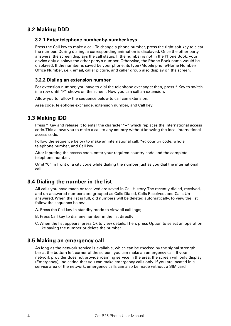## **3.2 Making DDD**

#### **3.2.1 Enter telephone number-by-number keys.**

Press the Call key to make a call. To change a phone number, press the right soft key to clear the number. During dialing, a corresponding animation is displayed. Once the other party answers, the screen displays the call status. If the number is not in the Phone Book, your device only displays the other party's number. Otherwise, the Phone Book name would be displayed. If the number is saved by your phone, its type (Mobile phone/Home Number/ Office Number, i.e.), email, caller picture, and caller group also display on the screen.

#### **3.2.2 Dialing an extension number**

For extension number, you have to dial the telephone exchange; then, press \* Key to switch in a row until "P" shows on the screen. Now you can call an extension.

Allow you to follow the sequence below to call can extension:

Area code, telephone exchange, extension number, and Call key.

## **3.3 Making IDD**

Press \* Key and release it to enter the character "+" which replaces the international access code. This allows you to make a call to any country without knowing the local international access code.

Follow the sequence below to make an international call: "+", country code, whole telephone number, and Call key.

After inputting the access code, enter your required country code and the complete telephone number.

Omit "0" in front of a city code while dialing the number just as you dial the international call.

## **3.4 Dialing the number in the list**

All calls you have made or received are saved in Call History. The recently dialed, received, and un-answered numbers are grouped as Calls Dialed, Calls Received, and Calls Unanswered. When the list is full, old numbers will be deleted automatically. To view the list follow the sequence below:

- A. Press the Call key in standby mode to view all call logs;
- B. Press Call key to dial any number in the list directly;
- C. When the list appears, press Ok to view details. Then, press Option to select an operation like saving the number or delete the number.

## **3.5 Making an emergency call**

As long as the network service is available, which can be checked by the signal strength bar at the bottom left corner of the screen, you can make an emergency call. If your network provider does not provide roaming service in the area, the screen will only display (Emergency), indicating that you can make emergency calls only. If you are located in a service area of the network, emergency calls can also be made without a SIM card.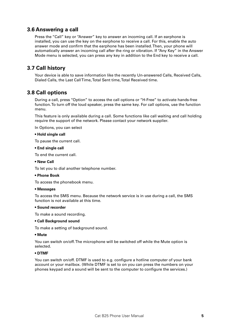## **3.6 Answering a call**

Press the "Call" key or "Answer" key to answer an incoming call. If an earphone is installed, you can use the key on the earphone to receive a call. For this, enable the auto answer mode and confirm that the earphone has been installed. Then, your phone will automatically answer an incoming call after the ring or vibration. If "Any Key" in the Answer Mode menu is selected, you can press any key in addition to the End key to receive a call.

## **3.7 Call history**

Your device is able to save information like the recently Un-answered Calls, Received Calls, Dialed Calls, the Last Call Time, Total Sent time, Total Received time.

## **3.8 Call options**

During a call, press "Option" to access the call options or "H-Free" to activate hands-free function. To turn off the loud speaker, press the same key. For call options, use the function menu.

This feature is only available during a call. Some functions like call waiting and call holding require the support of the network. Please contact your network supplier.

In Options, you can select

#### **• Hold single call**

To pause the current call.

#### **• End single call**

To end the current call.

#### **• New Call**

To let you to dial another telephone number.

#### **• Phone Book**

To access the phonebook menu.

#### **• Messages**

To access the SMS menu. Because the network service is in use during a call, the SMS function is not available at this time.

#### **• Sound recorder**

To make a sound recording.

#### **• Call Background sound**

To make a setting of background sound.

#### **• Mute**

You can switch on/off. The microphone will be switched off while the Mute option is selected.

#### **• DTMF**

You can switch on/off. DTMF is used to e.g. configure a hotline computer of your bank account or your mailbox. (While DTMF is set to on you can press the numbers on your phones keypad and a sound will be sent to the computer to configure the services.)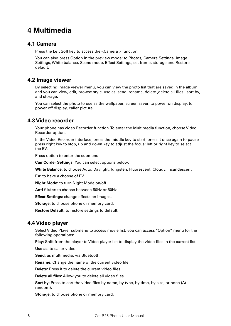## **4 Multimedia**

### **4.1 Camera**

Press the Left Soft key to access the <Camera > function.

You can also press Option in the preview mode: to Photos, Camera Settings, Image Settings, White balance, Scene mode, Effect Settings, set frame, storage and Restore default.

## **4.2 Image viewer**

By selecting image viewer menu, you can view the photo list that are saved in the album, and you can view, edit, browse style, use as, send, rename, delete ,delete all files , sort by, and storage.

You can select the photo to use as the wallpaper, screen saver, to power on display, to power off display, caller picture.

## **4.3 Video recorder**

Your phone has Video Recorder function. To enter the Multimedia function, choose Video Recorder option.

In the Video Recorder interface, press the middle key to start, press it once again to pause press right key to stop, up and down key to adjust the focus; left or right key to select the EV.

Press option to enter the submenu.

**CamCorder Settings:** You can select options below:

**White Balance:** to choose Auto, Daylight, Tungsten, Fluorescent, Cloudy, Incandescent

**EV:** to have a choose of EV.

**Night Mode:** to turn Night Mode on/off.

**Anti-flicker:** to choose between 50Hz or 60Hz.

**Effect Settings:** change effects on images.

**Storage:** to choose phone or memory card.

**Restore Default:** to restore settings to default.

## **4.4 Video player**

Select Video Player submenu to access movie list, you can access "Option" menu for the following operations:

**Play:** Shift from the player to Video player list to display the video files in the current list.

**Use as:** to caller video.

**Send:** as multimedia, via Bluetooth.

**Rename:** Change the name of the current video file.

**Delete:** Press it to delete the current video files.

**Delete all files:** Allow you to delete all video files.

**Sort by:** Press to sort the video files by name, by type, by time, by size, or none (At random).

**Storage:** to choose phone or memory card.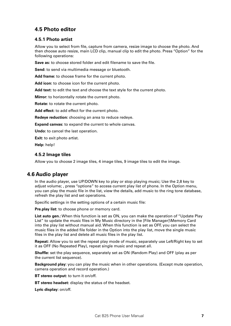## **4.5 Photo editor**

#### **4.5.1 Photo artist**

Allow you to select from file, capture from camera, resize image to choose the photo. And then choose auto resize, main LCD clip, manual clip to edit the photo. Press "Option" for the following operations:

**Save as:** to choose stored folder and edit filename to save the file.

**Send:** to send via multimedia message or bluetooth.

**Add frame:** to choose frame for the current photo.

**Add icon:** to choose icon for the current photo.

**Add text:** to edit the text and choose the text style for the current photo.

**Mirror:** to horizontally rotate the current photo.

**Rotate:** to rotate the current photo.

**Add effect:** to add effect for the current photo.

**Redeye reduction:** choosing an area to reduce redeye.

**Expand canvas:** to expand the current to whole canvas.

**Undo:** to cancel the last operation.

**Exit:** to exit photo artist.

**Help:** help!

#### **4.5.2 Image tiles**

Allow you to choose 2 image tiles, 4 image tiles, 9 image tiles to edit the image.

## **4.6 Audio player**

In the audio player, use UP/DOWN key to play or stop playing music; Use the 2,8 key to adjust volume; , press "options" to access current play list of phone. In the Option menu, you can play the music file in the list, view the details, add music to the ring tone database, refresh the play list and set operations.

Specific settings in the setting options of a certain music file:

**Pre.play list:** to choose phone or memory card.

**List auto gen.:** When this function is set as ON, you can make the operation of "Update Play List" to update the music files in My Music directory in the [File Manager]\Memory Card into the play list without manual aid. When this function is set as OFF, you can select the music files in the added file folder in the Option into the play list, move the single music files in the play list and delete all music files in the play list.

**Repeat:** Allow you to set the repeat play mode of music, separately use Left/Right key to set it as OFF (No Repeated Play), repeat single music and repeat all.

**Shuffle:** set the play sequence, separately set as ON (Random Play) and OFF (play as per the current list sequence).

**Background play:** you can play the music when in other operations. (Except mute operation, camera operation and record operation.)

**BT stereo output:** to turn it on/off.

**BT stereo headset:** display the status of the headset.

**Lyric display:** on/off.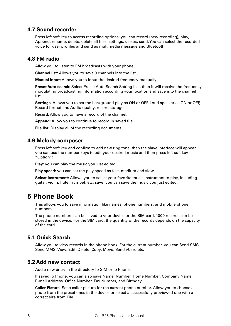## **4.7 Sound recorder**

Press left soft key to access recording options: you can record (new recording), play, Append, rename, delete, delete all files, settings, use as, send. You can select the recorded voice for user profiles and send as multimedia message and Bluetooth.

## **4.8 FM radio**

Allow you to listen to FM broadcasts with your phone.

**Channel list:** Allows you to save 9 channels into the list.

**Manual input:** Allows you to input the desired frequency manually.

**Preset Auto search:** Select Preset Auto Search Setting List, then it will receive the frequency modulating broadcasting information according your location and save into the channel list.

**Settings:** Allows you to set the background play as ON or OFF, Loud speaker as ON or OFF, Record format and Audio quality, record storage.

**Record:** Allow you to have a record of the channel.

**Append:** Allow you to continue to record in saved file.

**File list:** Display all of the recording documents.

## **4.9 Melody composer**

Press left soft key and confirm to add new ring tone, then the slave interface will appear, you can use the number keys to edit your desired music and then press left soft key "Option":

**Play:** you can play the music you just edited.

**Play speed:** you can set the play speed as fast, medium and slow .

**Select instrument:** Allows you to select your favorite music instrument to play, including guitar, violin, flute, Trumpet, etc. save: you can save the music you just edited.

## **5 Phone Book**

This allows you to save information like names, phone numbers, and mobile phone numbers.

The phone numbers can be saved to your device or the SIM card. 1000 records can be stored in the device. For the SIM card, the quantity of the records depends on the capacity of the card.

## **5.1 Quick Search**

Allow you to view records in the phone book. For the current number, you can Send SMS, Send MMS, View, Edit, Delete, Copy, Move, Send vCard etc.

### **5.2 Add new contact**

Add a new entry in the directory To SIM or To Phone.

If saved To Phone, you can also save Name, Number, Home Number, Company Name, E-mail Address, Office Number, Fax Number, and Birthday.

**Caller Picture:** Set a caller picture for the current phone number. Allow you to choose a photo from the preset ones in the device or select a successfully previewed one with a correct size from File.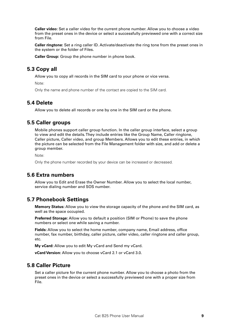**Caller video:** Set a caller video for the current phone number. Allow you to choose a video from the preset ones in the device or select a successfully previewed one with a correct size from File.

**Caller ringtone:** Set a ring caller ID. Activate/deactivate the ring tone from the preset ones in the system or the folder of Files.

**Caller Group:** Group the phone number in phone book.

## **5.3 Copy all**

Allow you to copy all records in the SIM card to your phone or vice versa.

Note:

Only the name and phone number of the contact are copied to the SIM card.

## **5.4 Delete**

Allow you to delete all records or one by one in the SIM card or the phone.

### **5.5 Caller groups**

Mobile phones support caller group function. In the caller group interface, select a group to view and edit the details. They include entries like the Group Name, Caller ringtone, Caller picture, Caller video, and group Members. Allows you to edit these entries, in which the picture can be selected from the File Management folder with size, and add or delete a group member.

Note:

Only the phone number recorded by your device can be increased or decreased.

## **5.6 Extra numbers**

Allow you to Edit and Erase the Owner Number. Allow you to select the local number, service dialing number and SOS number.

### **5.7 Phonebook Settings**

**Memory Status:** Allow you to view the storage capacity of the phone and the SIM card, as well as the space occupied.

**Preferred Storage:** Allow you to default a position (SIM or Phone) to save the phone numbers or select one while saving a number.

**Fields:** Allow you to select the home number, company name, Email address, office number, fax number, birthday, caller picture, caller video, caller ringtone and caller group, etc.

**My vCard:** Allow you to edit My vCard and Send my vCard.

**vCard Version:** Allow you to choose vCard 2.1 or vCard 3.0.

### **5.8 Caller Picture**

Set a caller picture for the current phone number. Allow you to choose a photo from the preset ones in the device or select a successfully previewed one with a proper size from File.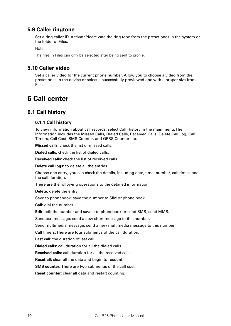## **5.9 Caller ringtone**

Set a ring caller ID. Activate/deactivate the ring tone from the preset ones in the system or the folder of Files.

Note:

The files in Files can only be selected after being sent to profile.

## **5.10 Caller video**

Set a caller video for the current phone number. Allow you to choose a video from the preset ones in the device or select a successfully previewed one with a proper size from File.

## **6 Call center**

## **6.1 Call history**

#### **6.1.1 Call history**

To view information about call records, select Call History in the main menu. The information includes the Missed Calls, Dialed Calls, Received Calls, Delete Call Log, Call Timers, Call Cost, SMS Counter, and GPRS Counter etc.

**Missed calls:** check the list of missed calls.

**Dialed calls:** check the list of dialed calls.

**Received calls:** check the list of received calls.

**Delete call logs:** to delete all the entries.

Choose one entry, you can check the details, including date, time, number, call times, and the call duration.

There are the following operations to the detailed information:

**Delete:** delete the entry

Save to phonebook: save the number to SIM or phone book.

**Call:** dial the number.

**Edit:** edit the number and save it to phonebook or send SMS, send MMS.

Send text message: send a new short message to this number.

Send multimedia message: send a new multimedia message to this number.

Call timers: There are four submenus of the call duration.

**Last call:** the duration of last call.

**Dialed calls:** call duration for all the dialed calls.

**Received calls:** call duration for all the received calls.

**Reset all:** clear all the data and begin to recount.

**SMS counter:** There are two submenus of the call cost.

**Reset counter:** clear all data and restart counting.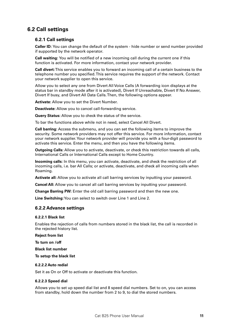## **6.2 Call settings**

#### **6.2.1 Call settings**

**Caller ID:** You can change the default of the system - hide number or send number provided if supported by the network operator.

**Call waiting:** You will be notified of a new incoming call during the current one if this function is activated. For more information, contact your network provider.

**Call divert:** This service enables you to forward an incoming call of a certain business to the telephone number you specified. This service requires the support of the network. Contact your network supplier to open this service.

Allow you to select any one from Divert All Voice Calls (A forwarding icon displays at the status bar in standby mode after it is activated), Divert If Unreachable, Divert If No Answer, Divert If busy, and Divert All Data Calls. Then, the following options appear.

**Activate:** Allow you to set the Divert Number.

**Deactivate:** Allow you to cancel call-forwarding service.

**Query Status:** Allow you to check the status of the service.

To bar the functions above while not in need, select Cancel All Divert.

**Call barring:** Access the submenu, and you can set the following items to improve the security. Some network providers may not offer this service. For more information, contact your network supplier. Your network provider will provide you with a four-digit password to activate this service. Enter the menu, and then you have the following items.

**Outgoing Calls:** Allow you to activate, deactivate, or check this restriction towards all calls, International Calls or International Calls except to Home Country.

**Incoming calls:** In this menu, you can activate, deactivate, and check the restriction of all incoming calls, i.e. bar All Calls; or activate, deactivate, and check all incoming calls when Roaming.

**Activate all:** Allow you to activate all call barring services by inputting your password.

**Cancel All:** Allow you to cancel all call barring services by inputting your password.

**Change Barring PW:** Enter the old call barring password and then the new one.

**Line Switching:** You can select to switch over Line 1 and Line 2.

#### **6.2.2 Advance settings**

#### **6.2.2.1 Black list**

Enables the rejection of calls from numbers stored in the black list, the call is recorded in the rejected history list.

#### **Reject from list**

**To turn on /off**

**Black list number**

**To setup the black list**

#### **6.2.2.2 Auto redial**

Set it as On or Off to activate or deactivate this function.

#### **6.2.2.3 Speed dial**

Allows you to set up speed dial list and 8 speed dial numbers. Set to on, you can access from standby, hold down the number from 2 to 9, to dial the stored numbers.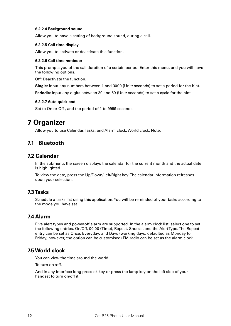#### **6.2.2.4 Background sound**

Allow you to have a setting of background sound, during a call.

#### **6.2.2.5 Call time display**

Allow you to activate or deactivate this function.

#### **6.2.2.6 Call time reminder**

This prompts you of the call duration of a certain period. Enter this menu, and you will have the following options.

**Off:** Deactivate the function.

**Single:** Input any numbers between 1 and 3000 (Unit: seconds) to set a period for the hint. **Periodic:** Input any digits between 30 and 60 (Unit: seconds) to set a cycle for the hint.

#### **6.2.2.7 Auto quick end**

Set to On or Off , and the period of 1 to 9999 seconds.

## **7 Organizer**

Allow you to use Calendar, Tasks, and Alarm clock, World clock, Note.

## **7.1 Bluetooth**

### **7.2 Calendar**

In the submenu, the screen displays the calendar for the current month and the actual date is highlighted.

To view the date, press the Up/Down/Left/Right key. The calendar information refreshes upon your selection.

### **7.3 Tasks**

Schedule a tasks list using this application. You will be reminded of your tasks according to the mode you have set.

### **7.4 Alarm**

Five alert types and power-off alarm are supported. In the alarm clock list, select one to set the following entries, On/Off, 00:00 (Time), Repeat, Snooze, and the Alert Type. The Repeat entry can be set as Once, Everyday, and Days (working days, defaulted as Monday to Friday, however, the option can be customised).FM radio can be set as the alarm clock.

## **7.5 World clock**

You can view the time around the world.

To turn on /off.

And in any interface long press ok key or press the lamp key on the left side of your handset to turn on/off it.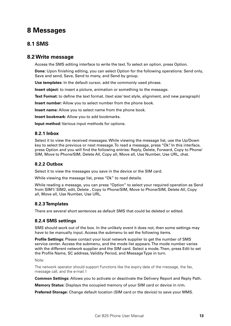## **8 Messages**

## **8.1 SMS**

## **8.2 Write message**

Access the SMS editing interface to write the text. To select an option, press Option.

**Done:** Upon finishing editing, you can select Option for the following operations: Send only, Save and send, Save, Send to many, and Send by group.

**Use templates:** In the default cursor, add the commonly used phrase.

**Insert object:** to insert a picture, animation or something to the message.

**Text Format:** to define the text format. (text size/ text style, alignment, and new paragraph)

**Insert number:** Allow you to select number from the phone book.

**Insert name:** Allow you to select name from the phone book.

**Insert bookmark:** Allow you to add bookmarks.

**Input method:** Various input methods for options.

#### **8.2.1 Inbox**

Select it to view the received messages. While viewing the message list, use the Up/Down key to select the previous or next message. To read a message, press "Ok". In this interface, press Option and you will find the following entries: Reply, Delete, Forward, Copy to Phone/ SIM, Move to Phone/SIM, Delete All, Copy all, Move all, Use Number, Use URL, chat.

#### **8.2.2 Outbox**

Select it to view the messages you save in the device or the SIM card.

While viewing the message list, press "Ok" to read details.

While reading a message, you can press "Option" to select your required operation as Send from SIM1/ SIM2, edit, Delete , Copy to Phone/SIM, Move to Phone/SIM, Delete All, Copy all, Move all, Use Number, Use URL.

#### **8.2.3 Templates**

There are several short sentences as default SMS that could be deleted or edited.

#### **8.2.4 SMS settings**

SMS should work out of the box. In the unlikely event it does not, then some settings may have to be manually input. Access the submenu to set the following items.

**Profile Settings:** Please contact your local network supplier to get the number of SMS service center. Access the submenu, and the mode list appears. The mode number varies with the different network supplier and the SIM card. Select a mode. Then, press Edit to set the Profile Name, SC address, Validity Period, and Message Type in turn.

Note:

The network operator should support Functions like the expiry date of the message, the fax, message call, and the e-mail.1

**Common Settings:** Allows you to activate or deactivate the Delivery Report and Reply Path.

**Memory Status:** Displays the occupied memory of your SIM card or device in n/m.

**Preferred Storage:** Change default location (SIM card or the device) to save your MMS.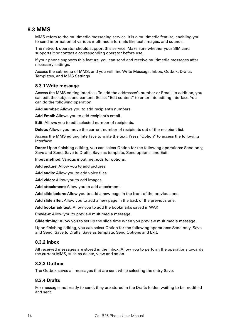## **8.3 MMS**

MMS refers to the multimedia messaging service. It is a multimedia feature, enabling you to send information of various multimedia formats like text, images, and sounds.

The network operator should support this service. Make sure whether your SIM card supports it or contact a corresponding operator before use.

If your phone supports this feature, you can send and receive multimedia messages after necessary settings.

Access the submenu of MMS, and you will find Write Message, Inbox, Outbox, Drafts, Templates, and MMS Settings.

#### **8.3.1 Write message**

Access the MMS editing interface. To add the addressee's number or Email. In addition, you can edit the subject and content. Select "Edit content" to enter into editing interface. You can do the following operation:

Add number: Allows you to add recipient's numbers.

**Add Email:** Allows you to add recipient's email.

**Edit:** Allows you to edit selected number of recipients.

**Delete:** Allows you move the current number of recipients out of the recipient list.

Access the MMS editing interface to write the text. Press "Option" to access the following interface:

**Done:** Upon finishing editing, you can select Option for the following operations: Send only, Save and Send, Save to Drafts, Save as template, Send options, and Exit.

**Input method:** Various input methods for options.

**Add picture:** Allow you to add pictures.

**Add audio:** Allow you to add voice files.

**Add video:** Allow you to add images.

**Add attachment:** Allow you to add attachment.

**Add slide before:** Allow you to add a new page in the front of the previous one.

**Add slide after:** Allow you to add a new page in the back of the previous one.

**Add bookmark text:** Allow you to add the bookmarks saved in WAP.

**Preview:** Allow you to preview multimedia message.

**Slide timing:** Allow you to set up the slide time when you preview multimedia message.

Upon finishing editing, you can select Option for the following operations: Send only, Save and Send, Save to Drafts, Save as template, Send Options and Exit.

#### **8.3.2 Inbox**

All received messages are stored in the Inbox. Allow you to perform the operations towards the current MMS, such as delete, view and so on.

#### **8.3.3 Outbox**

The Outbox saves all messages that are sent while selecting the entry Save.

#### **8.3.4 Drafts**

For messages not ready to send, they are stored in the Drafts folder, waiting to be modified and sent.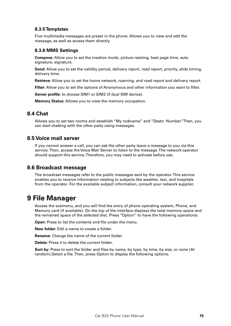#### **8.3.5 Templates**

Five multimedia messages are preset in the phone. Allows you to view and edit the message, as well as access them directly.

#### **8.3.6 MMS Settings**

**Compose:** Allow you to set the creation mode, picture resizing, best page time, auto signature, signature.

**Send:** Allow you to set the validity period, delivery report, read report, priority, slide timing, delivery time.

**Retrieve:** Allow you to set the home network, roaming, and read report and delivery report.

**Filter:** Allow you to set the options of Anonymous and other information you want to filter.

**Server profile:** to choose SIM1 or SIM2 (if dual SIM device).

**Memory Status:** Allows you to view the memory occupation.

### **8.4 Chat**

Allows you to set two rooms and establish "My nickname" and "Destn. Number". Then, you can start chatting with the other party using messages.

### **8.5 Voice mail server**

If you cannot answer a call, you can ask the other party leave a message to you via this service. Then, access the Voice Mail Server to listen to the message. The network operator should support this service. Therefore, you may need to activate before use.

### **8.6 Broadcast message**

The broadcast messages refer to the public messages sent by the operator. This service enables you to receive information relating to subjects like weather, taxi, and hospitals from the operator. For the available subject information, consult your network supplier.

## **9 File Manager**

Access the submenu, and you will find the entry of phone operating system, Phone, and Memory card (if available). On the top of the interface displays the total memory space and the remained space of the selected disc. Press "Option" to have the following operations:

**Open:** Press to list the contents and file under the menu.

**New folder:** Edit a name to create a folder.

**Rename:** Change the name of the current folder.

**Delete:** Press it to delete the current folder.

**Sort by:** Press to sort the folder and files by name, by type, by time, by size, or none (At random).Select a file. Then, press Option to display the following options.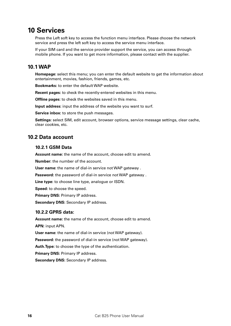## **10 Services**

Press the Left soft key to access the function menu interface. Please choose the network service and press the left soft key to access the service menu interface.

If your SIM card and the service provider support the service, you can access through mobile phone. If you want to get more information, please contact with the supplier.

## **10.1 WAP**

**Homepage:** select this menu; you can enter the default website to get the information about entertainment, movies, fashion, friends, games, etc.

**Bookmarks:** to enter the default WAP website.

**Recent pages:** to check the recently-entered websites in this menu.

**Offline pages:** to check the websites saved in this menu.

**Input address:** input the address of the website you want to surf.

**Service inbox:** to store the push messages.

**Settings:** select SIM, edit account, browser options, service message settings, clear cache, clear cookies, etc.

### **10.2 Data account**

#### **10.2.1 GSM Data**

**Account name:** the name of the account, choose edit to amend.

**Number:** the number of the account.

User name: the name of dial-in service not WAP gateway .

Password: the password of dial-in service not WAP gateway .

**Line type:** to choose line type, analogue or ISDN.

**Speed:** to choose the speed.

**Primary DNS: Primary IP address.** 

**Secondary DNS: Secondary IP address.** 

#### **10.2.2 GPRS data:**

**Account name:** the name of the account, choose edit to amend. **APN:** input APN.

**User name:** the name of dial-in service (not WAP gateway).

**Password:** the password of dial-in service (not WAP gateway).

**Auth.Type:** to choose the type of the authentication.

**Primary DNS: Primary IP address.** 

**Secondary DNS:** Secondary IP address.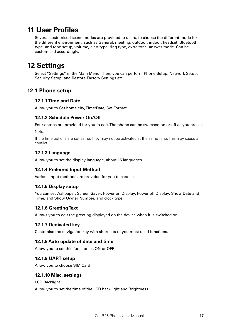## **11 User Profiles**

Several customised scene modes are provided to users, to choose the different mode for the different environment, such as General, meeting, outdoor, indoor, headset, Bluetooth type, and tone setup, volume, alert type, ring type, extra tone, answer mode. Can be customised accordingly.

## **12 Settings**

Select "Settings" in the Main Menu. Then, you can perform Phone Setup, Network Setup, Security Setup, and Restore Factory Settings etc.

## **12.1 Phone setup**

#### **12.1.1 Time and Date**

Allow you to Set home city, Time/Date, Set Format.

#### **12.1.2 Schedule Power On/Off**

Four entries are provided for you to edit. The phone can be switched on or off as you preset. Note:

If the time options are set same, they may not be activated at the same time. This may cause a conflict.

### **12.1.3 Language**

Allow you to set the display language, about 15 languages.

#### **12.1.4 Preferred Input Method**

Various input methods are provided for you to choose.

#### **12.1.5 Display setup**

You can set Wallpaper, Screen Saver, Power on Display, Power off Display, Show Date and Time, and Show Owner Number, and clock type.

#### **12.1.6 Greeting Text**

Allows you to edit the greeting displayed on the device when it is switched on.

#### **12.1.7 Dedicated key**

Customise the navigation key with shortcuts to you most used functions.

#### **12.1.8 Auto update of date and time**

Allow you to set this function as ON or OFF.

#### **12.1.9 UART setup**

Allow you to choose SIM Card

#### **12.1.10 Misc. settings**

LCD Backlight

Allow you to set the time of the LCD back light and Brightness.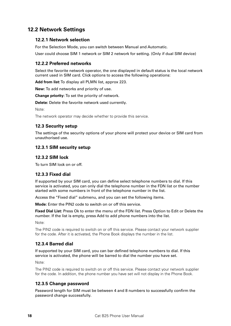## **12.2 Network Settings**

#### **12.2.1 Network selection**

For the Selection Mode, you can switch between Manual and Automatic.

User could choose SIM 1 network or SIM 2 network for setting. (Only if dual SIM device)

#### **12.2.2 Preferred networks**

Select the favorite network operator, the one displayed in default status is the local network current used in SIM card. Click options to access the following operations:

**Add from list:** To display all PLMN list, approx 223.

**New:** To add networks and priority of use.

**Change priority:** To set the priority of network.

**Delete:** Delete the favorite network used currently.

Note:

The network operator may decide whether to provide this service.

#### **12.3 Security setup**

The settings of the security options of your phone will protect your device or SIM card from unauthorised use.

#### **12.3.1 SIM security setup**

#### **12.3.2 SIM lock**

To turn SIM lock on or off.

#### **12.3.3 Fixed dial**

If supported by your SIM card, you can define select telephone numbers to dial. If this service is activated, you can only dial the telephone number in the FDN list or the number started with some numbers in front of the telephone number in the list.

Access the "Fixed dial" submenu, and you can set the following items.

**Mode:** Enter the PIN2 code to switch on or off this service.

**Fixed Dial List:** Press Ok to enter the menu of the FDN list. Press Option to Edit or Delete the number. If the list is empty, press Add to add phone numbers into the list.

Note:

The PIN2 code is required to switch on or off this service. Please contact your network supplier for the code. After it is activated, the Phone Book displays the number in the list.

### **12.3.4 Barred dial**

If supported by your SIM card, you can bar defined telephone numbers to dial. If this service is activated, the phone will be barred to dial the number you have set.

Note:

The PIN2 code is required to switch on or off this service. Please contact your network supplier for the code. In addition, the phone number you have set will not display in the Phone Book.

#### **12.3.5 Change password**

Password length for SIM must be between 4 and 8 numbers to successfully confirm the password change successfully.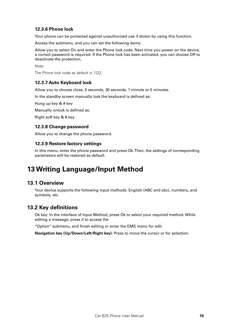#### **12.3.6 Phone lock**

Your phone can be protected against unauthorized use if stolen by using this function.

Access the submenu, and you can set the following items:

Allow you to select On and enter the Phone lock code. Next time you power on the device, a correct password is required. If the Phone lock has been activated, you can choose Off to deactivate the protection.

Note:

The Phone lock code as default is 1122.

#### **12.3.7 Auto Keyboard lock**

Allow you to choose close, 5 seconds, 30 seconds, 1 minute or 5 minutes.

In the standby screen manually lock the keyboard is defined as:

Hung up key & # key

Manually unlock is defined as:

Right soft key & # key

#### **12.3.8 Change password**

Allow you to change the phone password.

#### **12.3.9 Restore factory settings**

In this menu, enter the phone password and press Ok. Then, the settings of corresponding parameters will be restored as default.

## **13 Writing Language/Input Method**

### **13.1 Overview**

Your device supports the following input methods: English (ABC and abc), numbers, and symbols, etc.

### **13.2 Key definitions**

Ok key: In the interface of Input Method, press Ok to select your required method. While editing a message, press it to access the

"Option" submenu, and finish editing or enter the EMS menu for edit.

**Navigation key (Up/Down/Left/Right key):** Press to move the cursor or for selection.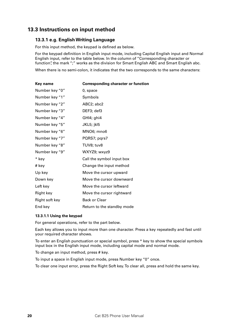## **13.3 Instructions on input method**

#### **13.3.1 e.g. English Writing Language**

For this input method, the keypad is defined as below.

For the keypad definition in English input mode, including Capital English input and Normal English input, refer to the table below. In the column of "Corresponding character or function", the mark ";" works as the division for Smart English ABC and Smart English abc.

When there is no semi-colon, it indicates that the two corresponds to the same characters:

| Key name       | <b>Corresponding character or function</b> |
|----------------|--------------------------------------------|
| Number key "0" | 0, space                                   |
| Number key "1" | Symbols                                    |
| Number key "2" | ABC2; abc2                                 |
| Number key "3" | DEF3; def3                                 |
| Number key "4" | GHI4; ghi4                                 |
| Number key "5" | JKL5; jkl5                                 |
| Number key "6" | MNO6; mno6                                 |
| Number key "7" | PQRS7; pqrs7                               |
| Number key "8" | TUV8; tuv8                                 |
| Number key "9" | WXYZ9; wxyz9                               |
| * key          | Call the symbol input box                  |
| # key          | Change the input method                    |
| Up key         | Move the cursor upward                     |
| Down key       | Move the cursor downward                   |
| Left key       | Move the cursor leftward                   |
| Right key      | Move the cursor rightward                  |
| Right soft key | <b>Back or Clear</b>                       |
| End key        | Return to the standby mode                 |

#### **13.3.1.1 Using the keypad**

For general operations, refer to the part below.

Each key allows you to input more than one character. Press a key repeatedly and fast until your required character shows.

To enter an English punctuation or special symbol, press \* key to show the special symbols input box in the English input mode, including capital mode and normal mode.

To change an input method, press # key.

To input a space in English input mode, press Number key "0" once.

To clear one input error, press the Right Soft key. To clear all, press and hold the same key.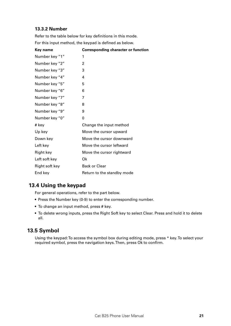## **13.3.2 Number**

Refer to the table below for key definitions in this mode. For this input method, the keypad is defined as below.

| Key name       | <b>Corresponding character or function</b> |
|----------------|--------------------------------------------|
| Number key "1" | 1                                          |
| Number key "2" | 2                                          |
| Number key "3" | 3                                          |
| Number key "4" | 4                                          |
| Number key "5" | 5                                          |
| Number key "6" | 6                                          |
| Number key "7" | 7                                          |
| Number key "8" | 8                                          |
| Number key "9" | 9                                          |
| Number key "0" | 0                                          |
| # key          | Change the input method                    |
| Up key         | Move the cursor upward                     |
| Down key       | Move the cursor downward                   |
| Left key       | Move the cursor leftward                   |
| Right key      | Move the cursor rightward                  |
| Left soft key  | Ok                                         |
| Right soft key | <b>Back or Clear</b>                       |
| End key        | Return to the standby mode                 |

## **€13.4 Using the keypad**

For general operations, refer to the part below.

- Press the Number key (0-9) to enter the corresponding number.
- To change an input method, press # key.
- • To delete wrong inputs, press the Right Soft key to select Clear. Press and hold it to delete all.

## **13.5 Symbol**

Using the keypad: To access the symbol box during editing mode, press \* key. To select your required symbol, press the navigation keys. Then, press Ok to confirm.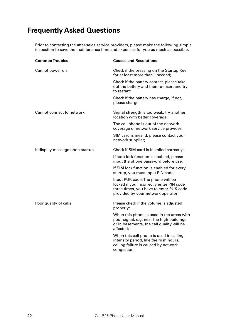## **Frequently Asked Questions**

Prior to contacting the after-sales service providers, please make the following simple inspection to save the maintenance time and expenses for you as much as possible.

| <b>Common Troubles</b>          | <b>Causes and Resolutions</b>                                                                                                                                  |
|---------------------------------|----------------------------------------------------------------------------------------------------------------------------------------------------------------|
| Cannot power on                 | Check if the pressing on the Startup Key<br>for at least more than 1 second;                                                                                   |
|                                 | Check if the battery contact, please take<br>out the battery and then re-insert and try<br>to restart:                                                         |
|                                 | Check if the battery has charge, if not,<br>please charge                                                                                                      |
| Cannot connect to network       | Signal strength is too weak, try another<br>location with better coverage;                                                                                     |
|                                 | The cell phone is out of the network<br>coverage of network service provider;                                                                                  |
|                                 | SIM card is invalid, please contact your<br>network supplier;                                                                                                  |
| It display message upon startup | Check if SIM card is installed correctly;                                                                                                                      |
|                                 | If auto lock function is enabled, please<br>input the phone password before use;                                                                               |
|                                 | If SIM lock function is enabled for every<br>startup, you must input PIN code;                                                                                 |
|                                 | Input PUK code: The phone will be<br>locked if you incorrectly enter PIN code<br>three times, you have to enter PUK code<br>provided by your network operator; |
| Poor quality of calls           | Please check if the volume is adjusted<br>properly;                                                                                                            |
|                                 | When this phone is used in the areas with<br>poor signal, e.g. near the high buildings<br>or in basements, the call quality will be<br>affected;               |
|                                 | When this cell phone is used in calling<br>intensity period, like the rush hours,<br>calling failure is caused by network<br>congestion;                       |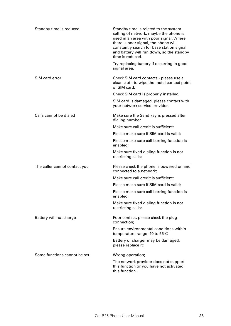| Standby time is reduced       | Standby time is related to the system<br>setting of network, maybe the phone is<br>used in an area with poor signal. Where<br>there is poor signal, the phone will<br>constantly search for base station signal<br>and battery will run down, so the standby<br>time is reduced. |
|-------------------------------|----------------------------------------------------------------------------------------------------------------------------------------------------------------------------------------------------------------------------------------------------------------------------------|
|                               | Try replacing battery if occurring in good<br>signal area.                                                                                                                                                                                                                       |
| SIM card error                | Check SIM card contacts - please use a<br>clean cloth to wipe the metal contact point<br>of SIM card;                                                                                                                                                                            |
|                               | Check SIM card is properly installed;                                                                                                                                                                                                                                            |
|                               | SIM card is damaged, please contact with<br>your network service provider.                                                                                                                                                                                                       |
| Calls cannot be dialed        | Make sure the Send key is pressed after<br>dialing number                                                                                                                                                                                                                        |
|                               | Make sure call credit is sufficient;                                                                                                                                                                                                                                             |
|                               | Please make sure if SIM card is valid;                                                                                                                                                                                                                                           |
|                               | Please make sure call barring function is<br>enabled;                                                                                                                                                                                                                            |
|                               | Make sure fixed dialing function is not<br>restricting calls;                                                                                                                                                                                                                    |
| The caller cannot contact you | Please check the phone is powered on and<br>connected to a network;                                                                                                                                                                                                              |
|                               | Make sure call credit is sufficient;                                                                                                                                                                                                                                             |
|                               | Please make sure if SIM card is valid;                                                                                                                                                                                                                                           |
|                               | Please make sure call barring function is<br>enabled;                                                                                                                                                                                                                            |
|                               | Make sure fixed dialing function is not<br>restricting calls;                                                                                                                                                                                                                    |
| Battery will not charge       | Poor contact, please check the plug<br>connection;                                                                                                                                                                                                                               |
|                               | Ensure environmental conditions within<br>temperature range -10 to 55°C                                                                                                                                                                                                          |
|                               | Battery or charger may be damaged,<br>please replace it;                                                                                                                                                                                                                         |
| Some functions cannot be set  | Wrong operation;                                                                                                                                                                                                                                                                 |
|                               | The network provider does not support<br>this function or you have not activated<br>this function.                                                                                                                                                                               |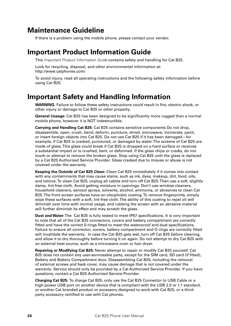## **Maintenance Guideline**

If there is a problem using the mobile phone, please contact your vendor.

## **Important Product Information Guide**

This *Important Product Information Guide* contains safety and handling for Cat B25.

Look for recycling, disposal, and other environmental information at: http://www.catphones.com/

To avoid injury, read all operating instructions and the following safety information before using Cat B25.

## **Important Safety and Handling Information**

**WARNING**: Failure to follow these safety instructions could result in fire, electric shock, or other injury or damage to Cat B25 or other property.

**General Useage:** Cat B25 has been designed to be significantly more rugged than a normal mobile phone, however it is NOT indestructible.

**Carrying and Handling Cat B25:** Cat B25 contains sensitive components Do not drop, disassemble, open, crush, bend, deform, puncture, shred, microwave, incinerate, paint, or insert foreign objects into Cat B25. Do not use Cat B25 if it has been damaged—for example, if Cat B25 is cracked, punctured, or damaged by water. The screens of Cat B25 are made of glass. This glass could break if Cat B25 is dropped on a hard surface or receives a substantial impact or is crushed, bent, or deformed. If the glass chips or cracks, do not touch or attempt to remove the broken glass. Stop using Cat B25 until the glass is replaced by a Cat B25 Authorized Service Provider. Glass cracked due to misuse or abuse is not covered under the warranty.

**Keeping the Outside of Cat B25 Clean:** Clean Cat B25 immediately if it comes into contact with any contaminants that may cause stains, such as ink, dyes, makeup, dirt, food, oils, and lotions. To clean Cat B25, unplug all cables and turn off Cat B25. Then use a soft, slightly damp, lint-free cloth. Avoid getting moisture in openings. Don't use window cleaners, household cleaners, aerosol sprays, solvents, alcohol, ammonia, or abrasives to clean Cat B25. The front screen surfaces have an oleophobic coating. To remove fingerprints, simply wipe these surfaces with a soft, lint-free cloth. The ability of this coating to repel oil will diminish over time with normal usage, and rubbing the screen with an abrasive material will further diminish its effect and may scratch the glass.

**Dust and Water:** The Cat B25 is fully tested to meet IP67 specifications. It is very important to note that all of the Cat B25 connectors, covers and battery compartment are correctly fitted and have the correct 0-rings fitted to meet the waterproof and dust specifications. Failure to ensure all connector, covers, battery compartment and O rings are correctly fitted will invalidate the warranty. In case the Cat B25 gets wet, turn off Cat B25 before cleaning, and allow it to dry thoroughly before turning it on again. Do not attempt to dry Cat B25 with an external heat source, such as a microwave oven or hair dryer.

**Repairing or Modifying Cat B25:** Never attempt to repair or modify Cat B25 yourself. Cat B25 does not contain any user-serviceable parts, except for the SIM card, SD card (if fitted), Battery and Battery Compartment door. Disassembling Cat B25, including the removal of external screws and back cover, may cause damage that is not covered under the warranty. Service should only be provided by a Cat Authorized Service Provider. If you have questions, contact a Cat B25 Authorized Service Provider.

**Charging Cat B25:** To charge Cat B25, only use the Cat B25 Connector to USB Cable or a high-power USB port on another device that is compliant with the USB 2.0 or 1.1 standard, or another Cat branded product or accessory designed to work with Cat B25, or a thirdparty accessory certified to use with Cat phones.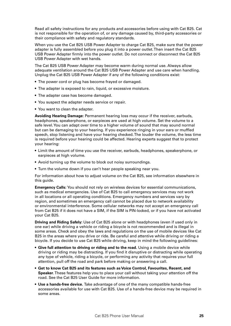Read all safety instructions for any products and accessories before using with Cat B25. Cat is not responsible for the operation of, or any damage caused by, third-party accessories or their compliance with safety and regulatory standards.

When you use the Cat B25 USB Power Adapter to charge Cat B25, make sure that the power adapter is fully assembled before you plug it into a power outlet. Then insert the Cat B25 USB Power Adapter firmly into the power outlet. Do not connect or disconnect the Cat B25 USB Power Adapter with wet hands.

The Cat B25 USB Power Adapter may become warm during normal use. Always allow adequate ventilation around the Cat B25 USB Power Adapter and use care when handling. Unplug the Cat B25 USB Power Adapter if any of the following conditions exist:

- The power cord or plug has become frayed or damaged.
- The adapter is exposed to rain, liquid, or excessive moisture.
- The adapter case has become damaged.
- You suspect the adapter needs service or repair.
- You want to clean the adapter.

**Avoiding Hearing Damage:** Permanent hearing loss may occur if the receiver, earbuds, headphones, speakerphone, or earpieces are used at high volume. Set the volume to a safe level. You can adapt over time to a higher volume of sound that may sound normal but can be damaging to your hearing. If you experience ringing in your ears or muffled speech, stop listening and have your hearing checked. The louder the volume, the less time is required before your hearing could be affected. Hearing experts suggest that to protect your hearing:

- Limit the amount of time you use the receiver, earbuds, headphones, speakerphone, or earpieces at high volume.
- Avoid turning up the volume to block out noisy surroundings.
- Turn the volume down if you can't hear people speaking near you.

For information about how to adjust volume on the Cat B25, see information elsewhere in this guide.

**Emergency Calls:** You should not rely on wireless devices for essential communications, such as medical emergencies. Use of Cat B25 to call emergency services may not work in all locations or all operating conditions. Emergency numbers and services vary by region, and sometimes an emergency call cannot be placed due to network availability or environmental interference. Some cellular networks may not accept an emergency call from Cat B25 if it does not have a SIM, if the SIM is PIN-locked, or if you have not activated your Cat B25.

**Driving and Riding Safely:** Use of Cat B25 alone or with headphones (even if used only in one ear) while driving a vehicle or riding a bicycle is not recommended and is illegal in some areas. Check and obey the laws and regulations on the use of mobile devices like Cat B25 in the areas where you drive or ride. Be careful and attentive while driving or riding a bicycle. If you decide to use Cat B25 while driving, keep in mind the following guidelines:

- **Give full attention to driving or riding and to the road.** Using a mobile device while driving or riding may be distracting. If you find it disruptive or distracting while operating any type of vehicle, riding a bicycle, or performing any activity that requires your full attention, pull off the road and park before making or answering a call.
- • **Get to know Cat B25 and its features such as Voice Control, Favourites, Recent, and Speaker**. These features help you to place your call without taking your attention off the road. See the Cat B25 User Guide for more information.
- **Use a hands-free device.** Take advantage of one of the many compatible hands-free accessories available for use with Cat B25. Use of a hands-free device may be required in some areas.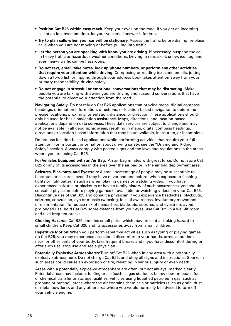- **Position Cat B25 within easy reach.** Keep your eyes on the road. If you get an incoming call at an inconvenient time, let your voicemail answer it for you.
- • **Try to plan calls when your car will be stationary.** Assess the traffic before dialing, or place calls when you are not moving or before pulling into traffic.
- • **Let the person you are speaking with know you are driving.** If necessary, suspend the call in heavy traffic or hazardous weather conditions. Driving in rain, sleet, snow, ice, fog, and even heavy traffic can be hazardous.
- • **Do not text, email, take notes, look up phone numbers, or perform any other activities that require your attention while driving.** Composing or reading texts and emails, jotting down a to-do list, or flipping through your address book takes attention away from your primary responsibility, driving safely.
- • **Do not engage in stressful or emotional conversations that may be distracting.** Make people you are talking with aware you are driving and suspend conversations that have the potential to divert your attention from the road.

**Navigating Safely:** Do not rely on Cat B25 applications that provide maps, digital compass headings, orientation information, directions, or location-based navigation to determine precise locations, proximity, orientation, distance, or direction. These applications should only be used for basic navigation assistance. Maps, directions, and location-based applications depend on data services. These data services are subject to change and may not be available in all geographic areas, resulting in maps, digital compass headings, directions or location-based information that may be unavailable, inaccurate, or incomplete.

Do not use location-based applications while performing activities that require your full attention. For important information about driving safety, see the "Driving and Riding Safely" section. Always comply with posted signs and the laws and regulations in the areas where you are using Cat B25.

**For Vehicles Equipped with an Air Bag:** An air bag inflates with great force. Do not store Cat B25 or any of its accessories in the area over the air bag or in the air bag deployment area.

**Seizures, Blackouts, and Eyestrain:** A small percentage of people may be susceptible to blackouts or seizures (even if they have never had one before) when exposed to flashing lights or light patterns such as when playing games or watching video. If you have experienced seizures or blackouts or have a family history of such occurrences, you should consult a physician before playing games (if available) or watching videos on your Cat B25. Discontinue use of Cat B25 and consult a physician if you experience headaches, blackouts, seizures, convulsion, eye or muscle twitching, loss of awareness, involuntary movement, or disorientation. To reduce risk of headaches, blackouts, seizures, and eyestrain, avoid prolonged use, hold Cat B25 some distance from your eyes, use Cat B25 in a well-lit room, and take frequent breaks.

**Choking Hazards:** Cat B25 contains small parts, which may present a choking hazard to small children. Keep Cat B25 and its accessories away from small children.

**Repetitive Motion:** When you perform repetitive activities such as typing or playing games on Cat B25, you may experience occasional discomfort in your hands, arms, shoulders, neck, or other parts of your body. Take frequent breaks and if you have discomfort during or after such use, stop use and see a physician.

**Potentially Explosive Atmospheres:** Turn off Cat B25 when in any area with a potentially explosive atmosphere. Do not charge Cat B25, and obey all signs and instructions. Sparks in such areas could cause an explosion or fire, resulting in serious injury or even death.

Areas with a potentially explosive atmosphere are often, but not always, marked clearly. Potential areas may include: fueling areas (such as gas stations); below deck on boats; fuel or chemical transfer or storage facilities; vehicles using liquefied petroleum gas (such as propane or butane); areas where the air contains chemicals or particles (such as grain, dust, or metal powders); and any other area where you would normally be advised to turn off your vehicle engine.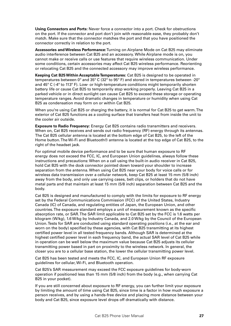**Using Connectors and Ports:** Never force a connector into a port. Check for obstructions on the port. If the connector and port don't join with reasonable ease, they probably don't match. Make sure that the connector matches the port and that you have positioned the connector correctly in relation to the port.

**Accessories and Wireless Performance:** Turning on Airplane Mode on Cat B25 may eliminate audio interference between Cat B25 and an accessory. While Airplane mode is on, you cannot make or receive calls or use features that require wireless communication. Under some conditions, certain accessories may affect Cat B25 wireless performance. Reorienting or relocating Cat B25 and the connected accessory may improve wireless performance.

**Keeping Cat B25 Within Acceptable Temperatures:** Cat B25 is designed to be operated in temperatures between  $0^{\circ}$  and  $35^{\circ}$  C ( $32^{\circ}$  to  $95^{\circ}$  F) and stored in temperatures between -20 $^{\circ}$ and  $45^{\circ}$  C (-4 $^{\circ}$  to 113 $^{\circ}$  F). Low- or high-temperature conditions might temporarily shorten battery life or cause Cat B25 to temporarily stop working properly. Leaving Cat B25 in a parked vehicle or in direct sunlight can cause Cat B25 to exceed these storage or operating temperature ranges. Avoid dramatic changes in temperature or humidity when using Cat B25 as condensation may form on or within Cat B25.

When you're using Cat B25 or charging the battery, it is normal for Cat B25 to get warm. The exterior of Cat B25 functions as a cooling surface that transfers heat from inside the unit to the cooler air outside.

**Exposure to Radio Frequency:** Energy Cat B25 contains radio transmitters and receivers. When on, Cat B25 receives and sends out radio frequency (RF) energy through its antennas. The Cat B25 cellular antenna is located at the bottom edge of Cat B25, to the left of the Home button. The Wi-Fi and Bluetooth® antenna is located at the top edge of Cat B25, to the right of the headset jack.

For optimal mobile device performance and to be sure that human exposure to RF energy does not exceed the FCC, IC, and European Union guidelines, always follow these instructions and precautions: When on a call using the built-in audio receiver in Cat B25, hold Cat B25 with the dock connector pointed down toward your shoulder to increase separation from the antenna. When using Cat B25 near your body for voice calls or for wireless data transmission over a cellular network, keep Cat B25 at least 15 mm (5/8 inch) away from the body, and only use carrying cases, belt clips, or holders that do not have metal parts and that maintain at least 15 mm (5/8 inch) separation between Cat B25 and the body.

Cat B25 is designed and manufactured to comply with the limits for exposure to RF energy set by the Federal Communications Commission (FCC) of the United States, Industry Canada (IC) of Canada, and regulating entities of Japan, the European Union, and other countries. The exposure standard employs a unit of measurement known as the specific absorption rate, or SAR. The SAR limit applicable to Cat B25 set by the FCC is 1.6 watts per kilogram (W/kg), 1.6 W/kg by Industry Canada, and 2.0 W/kg by the Council of the European Union. Tests for SAR are conducted using standard operating positions (i.e., at the ear and worn on the body) specified by these agencies, with Cat B25 transmitting at its highest certified power level in all tested frequency bands. Although SAR is determined at the highest certified power level in each frequency band, the actual SAR level of Cat B25 while in operation can be well below the maximum value because Cat B25 adjusts its cellular transmitting power based in part on proximity to the wireless network. In general, the closer you are to a cellular base station, the lower the cellular transmitting power level.

Cat B25 has been tested and meets the FCC, IC, and European Union RF exposure guidelines for cellular, Wi-Fi, and Bluetooth operation.

Cat B25's SAR measurement may exceed the FCC exposure guidelines for body-worn operation if positioned less than 15 mm (5/8 inch) from the body (e.g., when carrying Cat B25 in your pocket).

If you are still concerned about exposure to RF energy, you can further limit your exposure by limiting the amount of time using Cat B25, since time is a factor in how much exposure a person receives, and by using a hands-free device and placing more distance between your body and Cat B25, since exposure level drops off dramatically with distance.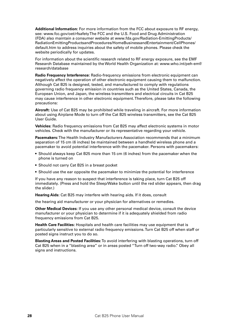**Additional Information:** For more information from the FCC about exposure to RF energy, see: www.fcc.gov/oet/rfsafety The FCC and the U.S. Food and Drug Administration (FDA) also maintain a consumer website at www.fda.gov/Radiation-EmittingProducts/ RadiationEmittingProductsandProcedures/HomeBusinessandEntertainment/CellPhones/ default.htm to address inquiries about the safety of mobile phones. Please check the website periodically for updates.

For information about the scientific research related to RF energy exposure, see the EMF Research Database maintained by the World Health Organization at: www.who.int/peh-emf/ research/database

**Radio Frequency Interference:** Radio-frequency emissions from electronic equipment can negatively affect the operation of other electronic equipment causing them to malfunction. Although Cat B25 is designed, tested, and manufactured to comply with regulations governing radio frequency emission in countries such as the United States, Canada, the European Union, and Japan, the wireless transmitters and electrical circuits in Cat B25 may cause interference in other electronic equipment. Therefore, please take the following precautions:

**Aircraft:** Use of Cat B25 may be prohibited while traveling in aircraft. For more information about using Airplane Mode to turn off the Cat B25 wireless transmitters, see the Cat B25 User Guide.

**Vehicles:** Radio frequency emissions from Cat B25 may affect electronic systems in motor vehicles. Check with the manufacturer or its representative regarding your vehicle.

**Pacemakers:** The Health Industry Manufacturers Association recommends that a minimum separation of 15 cm (6 inches) be maintained between a handheld wireless phone and a pacemaker to avoid potential interference with the pacemaker. Persons with pacemakers:

- Should always keep Cat B25 more than 15 cm (6 inches) from the pacemaker when the phone is turned on
- Should not carry Cat B25 in a breast pocket
- Should use the ear opposite the pacemaker to minimize the potential for interference

If you have any reason to suspect that interference is taking place, turn Cat B25 off immediately. (Press and hold the Sleep/Wake button until the red slider appears, then drag the slider.)

**Hearing Aids:** Cat B25 may interfere with hearing aids. If it does, consult

the hearing aid manufacturer or your physician for alternatives or remedies.

**Other Medical Devices:** If you use any other personal medical device, consult the device manufacturer or your physician to determine if it is adequately shielded from radio frequency emissions from Cat B25.

**Health Care Facilities:** Hospitals and health care facilities may use equipment that is particularly sensitive to external radio frequency emissions. Turn Cat B25 off when staff or posted signs instruct you to do so.

**Blasting Areas and Posted Facilities:** To avoid interfering with blasting operations, turn off Cat B25 when in a "blasting area" or in areas posted "Turn off two-way radio." Obey all signs and instructions.